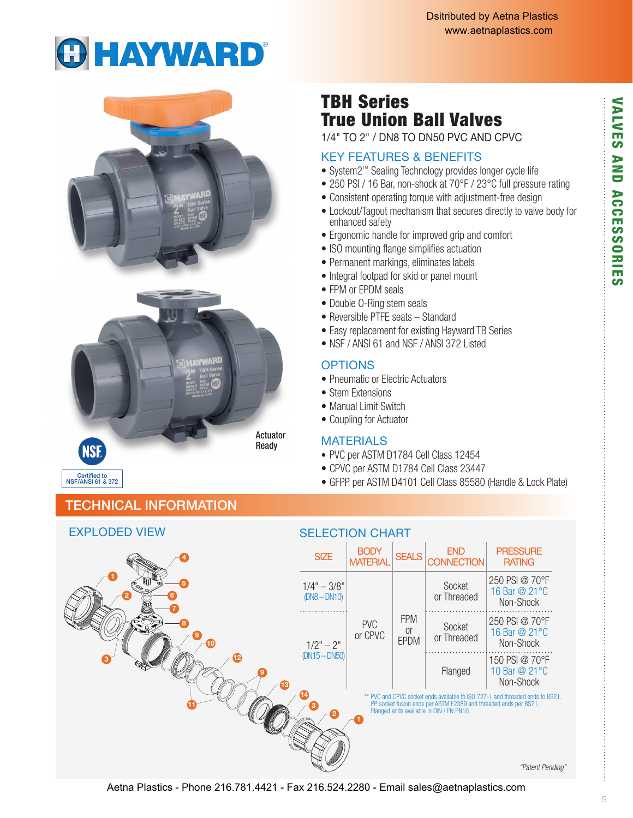# **GHAYWARD®**



# TBH Series True Union Ball Valves

1/4" TO 2" / DN8 TO DN50 PVC AND CPVC

## KEY FEATURES & BENEFITS

- System2™ Sealing Technology provides longer cycle life
- 250 PSI / 16 Bar, non-shock at 70°F / 23°C full pressure rating
- Consistent operating torque with adjustment-free design
- Lockout/Tagout mechanism that secures directly to valve body for enhanced safety
- Ergonomic handle for improved grip and comfort
- ISO mounting flange simplifies actuation
- Permanent markings, eliminates labels
- Integral footpad for skid or panel mount
- FPM or EPDM seals
- Double O-Ring stem seals
- Reversible PTFE seats Standard
- Easy replacement for existing Hayward TB Series
- NSF / ANSL 61 and NSF / ANSL 372 Listed

## **OPTIONS**

- Pneumatic or Electric Actuators
- Stem Extensions
- Manual Limit Switch
- Coupling for Actuator

## **MATERIALS**

- PVC per ASTM D1784 Cell Class 12454
- CPVC per ASTM D1784 Cell Class 23447
- GFPP per ASTM D4101 Cell Class 85580 (Handle & Lock Plate)

## TECHNICAL INFORMATION



ဖာ